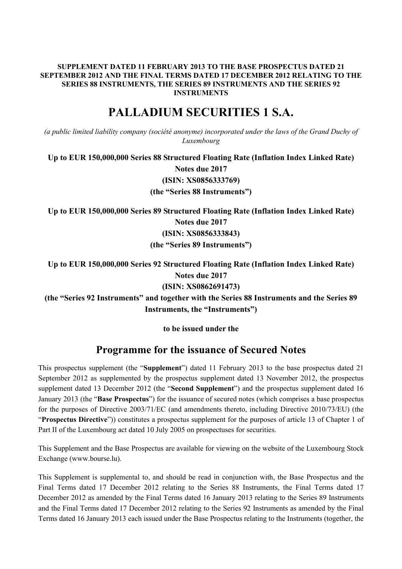# **SUPPLEMENT DATED 11 FEBRUARY 2013 TO THE BASE PROSPECTUS DATED 21 SEPTEMBER 2012 AND THE FINAL TERMS DATED 17 DECEMBER 2012 RELATING TO THE SERIES 88 INSTRUMENTS, THE SERIES 89 INSTRUMENTS AND THE SERIES 92 INSTRUMENTS**

# **PALLADIUM SECURITIES 1 S.A.**

*(a public limited liability company (société anonyme) incorporated under the laws of the Grand Duchy of Luxembourg*

**Up to EUR 150,000,000 Series 88 Structured Floating Rate (Inflation Index Linked Rate) Notes due 2017 (ISIN: XS0856333769) (the "Series 88 Instruments")**

**Up to EUR 150,000,000 Series 89 Structured Floating Rate (Inflation Index Linked Rate) Notes due 2017 (ISIN: XS0856333843) (the "Series 89 Instruments")**

**Up to EUR 150,000,000 Series 92 Structured Floating Rate (Inflation Index Linked Rate) Notes due 2017 (ISIN: XS0862691473) (the "Series 92 Instruments" and together with the Series 88 Instruments and the Series 89 Instruments, the "Instruments")**

**to be issued under the**

# **Programme for the issuance of Secured Notes**

This prospectus supplement (the "**Supplement**") dated 11 February 2013 to the base prospectus dated 21 September 2012 as supplemented by the prospectus supplement dated 13 November 2012, the prospectus supplement dated 13 December 2012 (the "**Second Supplement**") and the prospectus supplement dated 16 January 2013 (the "**Base Prospectus**") for the issuance of secured notes (which comprises a base prospectus for the purposes of Directive 2003/71/EC (and amendments thereto, including Directive 2010/73/EU) (the "**Prospectus Directive**")) constitutes a prospectus supplement for the purposes of article 13 of Chapter 1 of Part II of the Luxembourg act dated 10 July 2005 on prospectuses for securities.

This Supplement and the Base Prospectus are available for viewing on the website of the Luxembourg Stock Exchange (www.bourse.lu).

This Supplement is supplemental to, and should be read in conjunction with, the Base Prospectus and the Final Terms dated 17 December 2012 relating to the Series 88 Instruments, the Final Terms dated 17 December 2012 as amended by the Final Terms dated 16 January 2013 relating to the Series 89 Instruments and the Final Terms dated 17 December 2012 relating to the Series 92 Instruments as amended by the Final Terms dated 16 January 2013 each issued under the Base Prospectus relating to the Instruments (together, the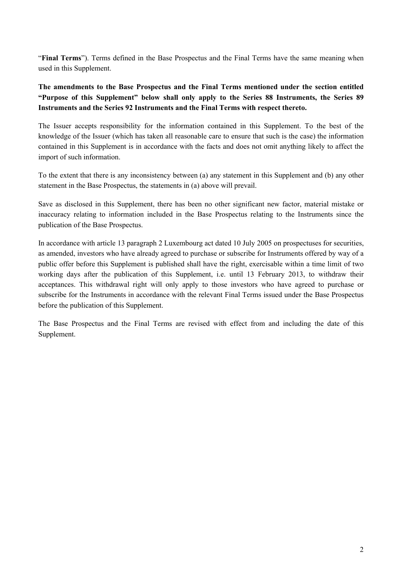"**Final Terms**"). Terms defined in the Base Prospectus and the Final Terms have the same meaning when used in this Supplement.

**The amendments to the Base Prospectus and the Final Terms mentioned under the section entitled "Purpose of this Supplement" below shall only apply to the Series 88 Instruments, the Series 89 Instruments and the Series 92 Instruments and the Final Terms with respect thereto.**

The Issuer accepts responsibility for the information contained in this Supplement. To the best of the knowledge of the Issuer (which has taken all reasonable care to ensure that such is the case) the information contained in this Supplement is in accordance with the facts and does not omit anything likely to affect the import of such information.

To the extent that there is any inconsistency between (a) any statement in this Supplement and (b) any other statement in the Base Prospectus, the statements in (a) above will prevail.

Save as disclosed in this Supplement, there has been no other significant new factor, material mistake or inaccuracy relating to information included in the Base Prospectus relating to the Instruments since the publication of the Base Prospectus.

In accordance with article 13 paragraph 2 Luxembourg act dated 10 July 2005 on prospectuses for securities, as amended, investors who have already agreed to purchase or subscribe for Instruments offered by way of a public offer before this Supplement is published shall have the right, exercisable within a time limit of two working days after the publication of this Supplement, i.e. until 13 February 2013, to withdraw their acceptances. This withdrawal right will only apply to those investors who have agreed to purchase or subscribe for the Instruments in accordance with the relevant Final Terms issued under the Base Prospectus before the publication of this Supplement.

The Base Prospectus and the Final Terms are revised with effect from and including the date of this Supplement.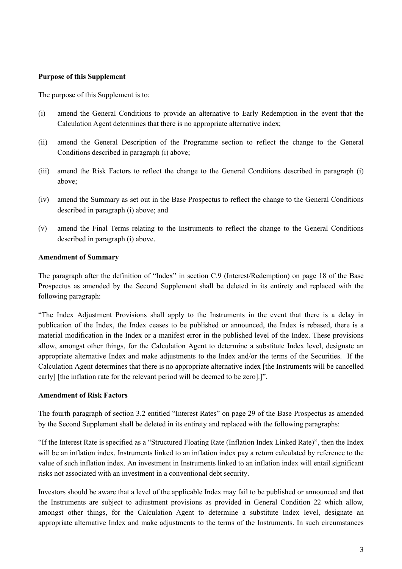#### **Purpose of this Supplement**

The purpose of this Supplement is to:

- (i) amend the General Conditions to provide an alternative to Early Redemption in the event that the Calculation Agent determines that there is no appropriate alternative index;
- (ii) amend the General Description of the Programme section to reflect the change to the General Conditions described in paragraph (i) above;
- (iii) amend the Risk Factors to reflect the change to the General Conditions described in paragraph (i) above;
- (iv) amend the Summary as set out in the Base Prospectus to reflect the change to the General Conditions described in paragraph (i) above; and
- (v) amend the Final Terms relating to the Instruments to reflect the change to the General Conditions described in paragraph (i) above.

#### **Amendment of Summary**

The paragraph after the definition of "Index" in section C.9 (Interest/Redemption) on page 18 of the Base Prospectus as amended by the Second Supplement shall be deleted in its entirety and replaced with the following paragraph:

"The Index Adjustment Provisions shall apply to the Instruments in the event that there is a delay in publication of the Index, the Index ceases to be published or announced, the Index is rebased, there is a material modification in the Index or a manifest error in the published level of the Index. These provisions allow, amongst other things, for the Calculation Agent to determine a substitute Index level, designate an appropriate alternative Index and make adjustments to the Index and/or the terms of the Securities. If the Calculation Agent determines that there is no appropriate alternative index [the Instruments will be cancelled early] [the inflation rate for the relevant period will be deemed to be zero].]".

#### **Amendment of Risk Factors**

The fourth paragraph of section 3.2 entitled "Interest Rates" on page 29 of the Base Prospectus as amended by the Second Supplement shall be deleted in its entirety and replaced with the following paragraphs:

"If the Interest Rate is specified as a "Structured Floating Rate (Inflation Index Linked Rate)", then the Index will be an inflation index. Instruments linked to an inflation index pay a return calculated by reference to the value of such inflation index. An investment in Instruments linked to an inflation index will entail significant risks not associated with an investment in a conventional debt security.

Investors should be aware that a level of the applicable Index may fail to be published or announced and that the Instruments are subject to adjustment provisions as provided in General Condition 22 which allow, amongst other things, for the Calculation Agent to determine a substitute Index level, designate an appropriate alternative Index and make adjustments to the terms of the Instruments. In such circumstances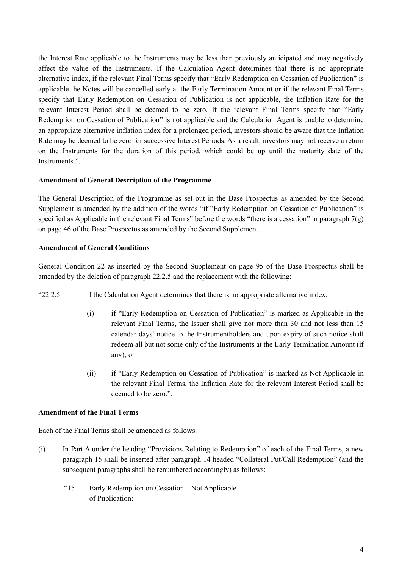the Interest Rate applicable to the Instruments may be less than previously anticipated and may negatively affect the value of the Instruments. If the Calculation Agent determines that there is no appropriate alternative index, if the relevant Final Terms specify that "Early Redemption on Cessation of Publication" is applicable the Notes will be cancelled early at the Early Termination Amount or if the relevant Final Terms specify that Early Redemption on Cessation of Publication is not applicable, the Inflation Rate for the relevant Interest Period shall be deemed to be zero. If the relevant Final Terms specify that "Early Redemption on Cessation of Publication" is not applicable and the Calculation Agent is unable to determine an appropriate alternative inflation index for a prolonged period, investors should be aware that the Inflation Rate may be deemed to be zero for successive Interest Periods. As a result, investors may not receive a return on the Instruments for the duration of this period, which could be up until the maturity date of the Instruments."

# **Amendment of General Description of the Programme**

The General Description of the Programme as set out in the Base Prospectus as amended by the Second Supplement is amended by the addition of the words "if "Early Redemption on Cessation of Publication" is specified as Applicable in the relevant Final Terms" before the words "there is a cessation" in paragraph 7(g) on page 46 of the Base Prospectus as amended by the Second Supplement.

# **Amendment of General Conditions**

General Condition 22 as inserted by the Second Supplement on page 95 of the Base Prospectus shall be amended by the deletion of paragraph 22.2.5 and the replacement with the following:

- "22.2.5 if the Calculation Agent determines that there is no appropriate alternative index:
	- (i) if "Early Redemption on Cessation of Publication" is marked as Applicable in the relevant Final Terms, the Issuer shall give not more than 30 and not less than 15 calendar days' notice to the Instrumentholders and upon expiry of such notice shall redeem all but not some only of the Instruments at the Early Termination Amount (if any); or
	- (ii) if "Early Redemption on Cessation of Publication" is marked as Not Applicable in the relevant Final Terms, the Inflation Rate for the relevant Interest Period shall be deemed to be zero.".

#### **Amendment of the Final Terms**

Each of the Final Terms shall be amended as follows.

- (i) In Part A under the heading "Provisions Relating to Redemption" of each of the Final Terms, a new paragraph 15 shall be inserted after paragraph 14 headed "Collateral Put/Call Redemption" (and the subsequent paragraphs shall be renumbered accordingly) as follows:
	- "15 Early Redemption on Cessation Not Applicableof Publication: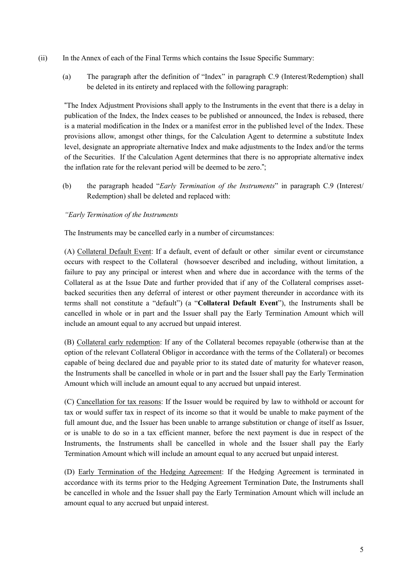- (ii) In the Annex of each of the Final Terms which contains the Issue Specific Summary:
	- (a) The paragraph after the definition of "Index" in paragraph C.9 (Interest/Redemption) shall be deleted in its entirety and replaced with the following paragraph:

"The Index Adjustment Provisions shall apply to the Instruments in the event that there is a delay in publication of the Index, the Index ceases to be published or announced, the Index is rebased, there is a material modification in the Index or a manifest error in the published level of the Index. These provisions allow, amongst other things, for the Calculation Agent to determine a substitute Index level, designate an appropriate alternative Index and make adjustments to the Index and/or the terms of the Securities. If the Calculation Agent determines that there is no appropriate alternative index the inflation rate for the relevant period will be deemed to be zero.";

(b) the paragraph headed "*Early Termination of the Instruments*" in paragraph C.9 (Interest/ Redemption) shall be deleted and replaced with:

# *"Early Termination of the Instruments*

The Instruments may be cancelled early in a number of circumstances:

(A) Collateral Default Event: If a default, event of default or other similar event or circumstance occurs with respect to the Collateral (howsoever described and including, without limitation, a failure to pay any principal or interest when and where due in accordance with the terms of the Collateral as at the Issue Date and further provided that if any of the Collateral comprises assetbacked securities then any deferral of interest or other payment thereunder in accordance with its terms shall not constitute a "default") (a "**Collateral Default Event**"), the Instruments shall be cancelled in whole or in part and the Issuer shall pay the Early Termination Amount which will include an amount equal to any accrued but unpaid interest.

(B) Collateral early redemption: If any of the Collateral becomes repayable (otherwise than at the option of the relevant Collateral Obligor in accordance with the terms of the Collateral) or becomes capable of being declared due and payable prior to its stated date of maturity for whatever reason, the Instruments shall be cancelled in whole or in part and the Issuer shall pay the Early Termination Amount which will include an amount equal to any accrued but unpaid interest.

(C) Cancellation for tax reasons: If the Issuer would be required by law to withhold or account for tax or would suffer tax in respect of its income so that it would be unable to make payment of the full amount due, and the Issuer has been unable to arrange substitution or change of itself as Issuer, or is unable to do so in a tax efficient manner, before the next payment is due in respect of the Instruments, the Instruments shall be cancelled in whole and the Issuer shall pay the Early Termination Amount which will include an amount equal to any accrued but unpaid interest.

(D) Early Termination of the Hedging Agreement: If the Hedging Agreement is terminated in accordance with its terms prior to the Hedging Agreement Termination Date, the Instruments shall be cancelled in whole and the Issuer shall pay the Early Termination Amount which will include an amount equal to any accrued but unpaid interest.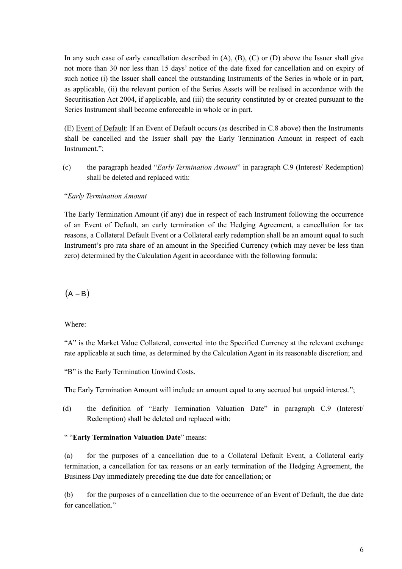In any such case of early cancellation described in  $(A)$ ,  $(B)$ ,  $(C)$  or  $(D)$  above the Issuer shall give not more than 30 nor less than 15 days' notice of the date fixed for cancellation and on expiry of such notice (i) the Issuer shall cancel the outstanding Instruments of the Series in whole or in part, as applicable, (ii) the relevant portion of the Series Assets will be realised in accordance with the Securitisation Act 2004, if applicable, and (iii) the security constituted by or created pursuant to the Series Instrument shall become enforceable in whole or in part.

(E) Event of Default: If an Event of Default occurs (as described in C.8 above) then the Instruments shall be cancelled and the Issuer shall pay the Early Termination Amount in respect of each Instrument.";

(c) the paragraph headed "*Early Termination Amount*" in paragraph C.9 (Interest/ Redemption) shall be deleted and replaced with:

# "*Early Termination Amount*

The Early Termination Amount (if any) due in respect of each Instrument following the occurrence of an Event of Default, an early termination of the Hedging Agreement, a cancellation for tax reasons, a Collateral Default Event or a Collateral early redemption shall be an amount equal to such Instrument's pro rata share of an amount in the Specified Currency (which may never be less than zero) determined by the Calculation Agent in accordance with the following formula:

 $(A - B)$ 

Where:

"A" is the Market Value Collateral, converted into the Specified Currency at the relevant exchange rate applicable at such time, as determined by the Calculation Agent in its reasonable discretion; and

"B" is the Early Termination Unwind Costs.

The Early Termination Amount will include an amount equal to any accrued but unpaid interest.";

(d) the definition of "Early Termination Valuation Date" in paragraph C.9 (Interest/ Redemption) shall be deleted and replaced with:

#### " "**Early Termination Valuation Date**" means:

(a) for the purposes of a cancellation due to a Collateral Default Event, a Collateral early termination, a cancellation for tax reasons or an early termination of the Hedging Agreement, the Business Day immediately preceding the due date for cancellation; or

(b) for the purposes of a cancellation due to the occurrence of an Event of Default, the due date for cancellation."